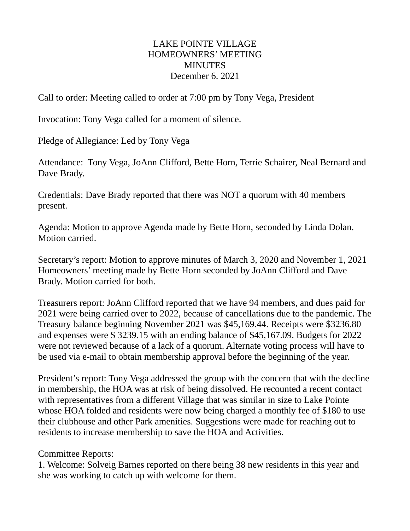## LAKE POINTE VILLAGE HOMEOWNERS' MEETING **MINUTES** December 6. 2021

Call to order: Meeting called to order at 7:00 pm by Tony Vega, President

Invocation: Tony Vega called for a moment of silence.

Pledge of Allegiance: Led by Tony Vega

Attendance: Tony Vega, JoAnn Clifford, Bette Horn, Terrie Schairer, Neal Bernard and Dave Brady.

Credentials: Dave Brady reported that there was NOT a quorum with 40 members present.

Agenda: Motion to approve Agenda made by Bette Horn, seconded by Linda Dolan. Motion carried.

Secretary's report: Motion to approve minutes of March 3, 2020 and November 1, 2021 Homeowners' meeting made by Bette Horn seconded by JoAnn Clifford and Dave Brady. Motion carried for both.

Treasurers report: JoAnn Clifford reported that we have 94 members, and dues paid for 2021 were being carried over to 2022, because of cancellations due to the pandemic. The Treasury balance beginning November 2021 was \$45,169.44. Receipts were \$3236.80 and expenses were \$ 3239.15 with an ending balance of \$45,167.09. Budgets for 2022 were not reviewed because of a lack of a quorum. Alternate voting process will have to be used via e-mail to obtain membership approval before the beginning of the year.

President's report: Tony Vega addressed the group with the concern that with the decline in membership, the HOA was at risk of being dissolved. He recounted a recent contact with representatives from a different Village that was similar in size to Lake Pointe whose HOA folded and residents were now being charged a monthly fee of \$180 to use their clubhouse and other Park amenities. Suggestions were made for reaching out to residents to increase membership to save the HOA and Activities.

Committee Reports:

1. Welcome: Solveig Barnes reported on there being 38 new residents in this year and she was working to catch up with welcome for them.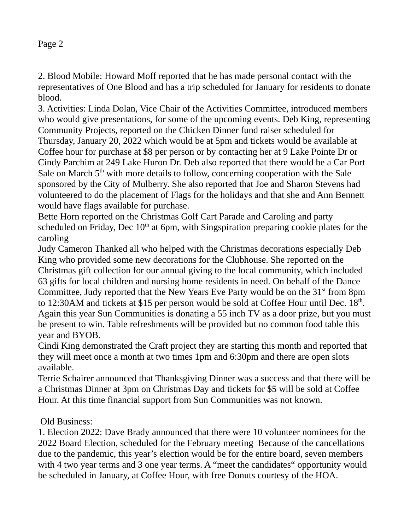2. Blood Mobile: Howard Moff reported that he has made personal contact with the representatives of One Blood and has a trip scheduled for January for residents to donate blood.

3. Activities: Linda Dolan, Vice Chair of the Activities Committee, introduced members who would give presentations, for some of the upcoming events. Deb King, representing Community Projects, reported on the Chicken Dinner fund raiser scheduled for Thursday, January 20, 2022 which would be at 5pm and tickets would be available at Coffee hour for purchase at \$8 per person or by contacting her at 9 Lake Pointe Dr or Cindy Parchim at 249 Lake Huron Dr. Deb also reported that there would be a Car Port Sale on March 5<sup>th</sup> with more details to follow, concerning cooperation with the Sale sponsored by the City of Mulberry. She also reported that Joe and Sharon Stevens had volunteered to do the placement of Flags for the holidays and that she and Ann Bennett would have flags available for purchase.

Bette Horn reported on the Christmas Golf Cart Parade and Caroling and party scheduled on Friday, Dec  $10<sup>th</sup>$  at 6pm, with Singspiration preparing cookie plates for the caroling

Judy Cameron Thanked all who helped with the Christmas decorations especially Deb King who provided some new decorations for the Clubhouse. She reported on the Christmas gift collection for our annual giving to the local community, which included 63 gifts for local children and nursing home residents in need. On behalf of the Dance Committee, Judy reported that the New Years Eve Party would be on the  $31<sup>st</sup>$  from 8pm to 12:30AM and tickets at \$15 per person would be sold at Coffee Hour until Dec.  $18<sup>th</sup>$ . Again this year Sun Communities is donating a 55 inch TV as a door prize, but you must be present to win. Table refreshments will be provided but no common food table this year and BYOB.

Cindi King demonstrated the Craft project they are starting this month and reported that they will meet once a month at two times 1pm and 6:30pm and there are open slots available.

Terrie Schairer announced that Thanksgiving Dinner was a success and that there will be a Christmas Dinner at 3pm on Christmas Day and tickets for \$5 will be sold at Coffee Hour. At this time financial support from Sun Communities was not known.

## Old Business:

1. Election 2022: Dave Brady announced that there were 10 volunteer nominees for the 2022 Board Election, scheduled for the February meeting Because of the cancellations due to the pandemic, this year's election would be for the entire board, seven members with 4 two year terms and 3 one year terms. A "meet the candidates" opportunity would be scheduled in January, at Coffee Hour, with free Donuts courtesy of the HOA.